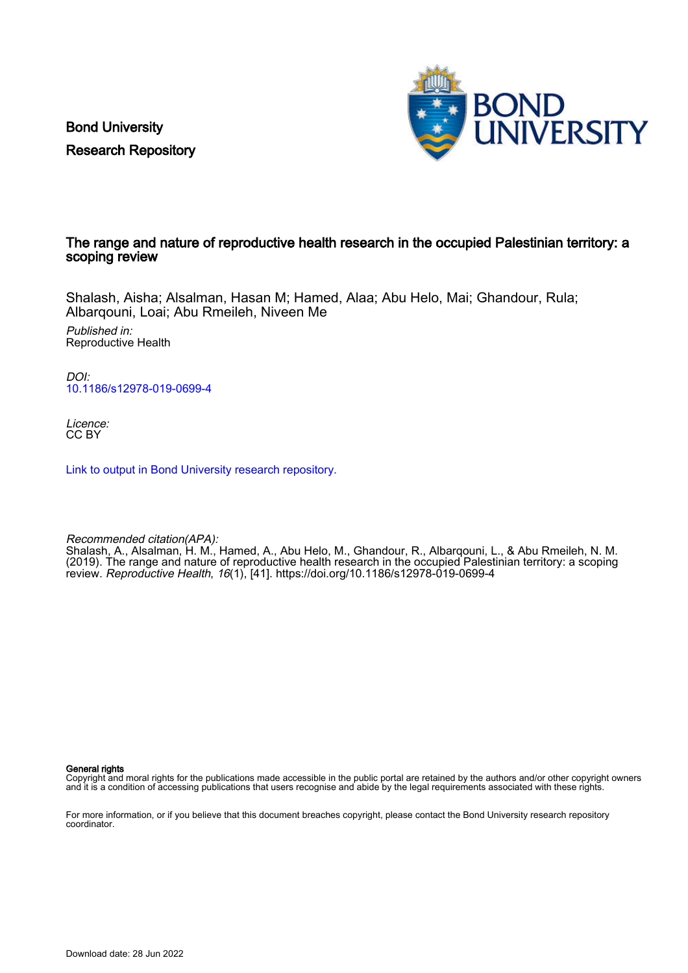Bond University Research Repository



### The range and nature of reproductive health research in the occupied Palestinian territory: a scoping review

Shalash, Aisha; Alsalman, Hasan M; Hamed, Alaa; Abu Helo, Mai; Ghandour, Rula; Albarqouni, Loai; Abu Rmeileh, Niveen Me

Published in: Reproductive Health

DOI: [10.1186/s12978-019-0699-4](https://doi.org/10.1186/s12978-019-0699-4)

Licence: CC BY

[Link to output in Bond University research repository.](https://research.bond.edu.au/en/publications/3c8f6d11-fc69-4974-9584-1f5c4d4ab8ce)

Recommended citation(APA):

Shalash, A., Alsalman, H. M., Hamed, A., Abu Helo, M., Ghandour, R., Albarqouni, L., & Abu Rmeileh, N. M. (2019). The range and nature of reproductive health research in the occupied Palestinian territory: a scoping review. Reproductive Health, 16(1), [41]. <https://doi.org/10.1186/s12978-019-0699-4>

General rights

Copyright and moral rights for the publications made accessible in the public portal are retained by the authors and/or other copyright owners and it is a condition of accessing publications that users recognise and abide by the legal requirements associated with these rights.

For more information, or if you believe that this document breaches copyright, please contact the Bond University research repository coordinator.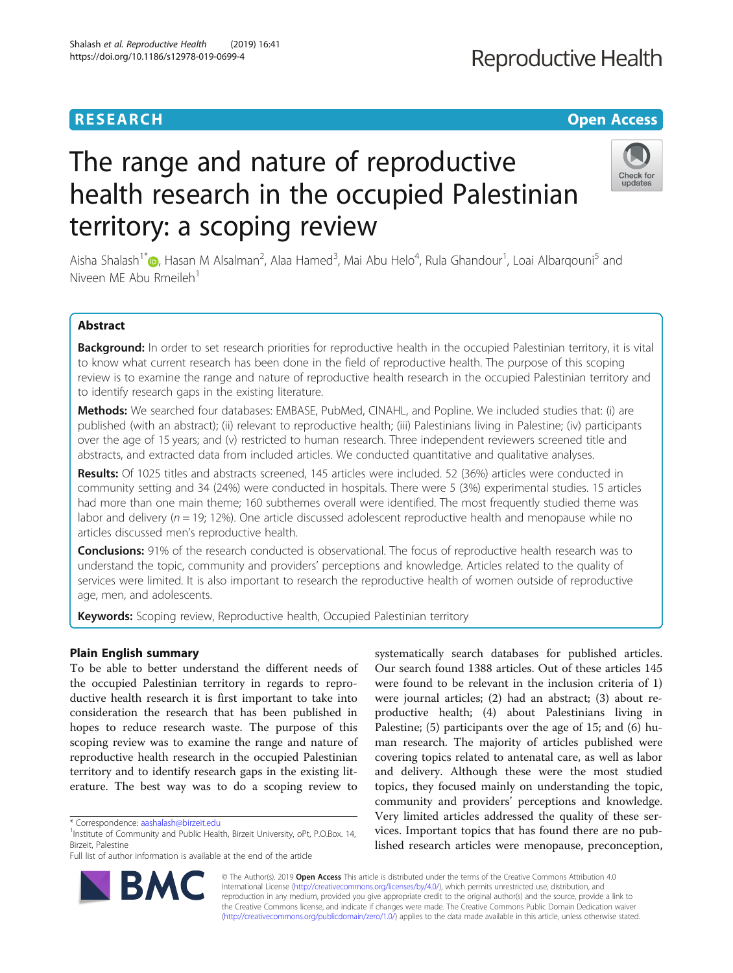# **Reproductive Health**

## **RESEARCH CHE Open Access**

# Check for updates

# The range and nature of reproductive health research in the occupied Palestinian territory: a scoping review

Aisha Shalash<sup>1[\\*](http://orcid.org/0000-0001-8955-3207)</sup> (@, Hasan M Alsalman<sup>2</sup>, Alaa Hamed<sup>3</sup>, Mai Abu Helo<sup>4</sup>, Rula Ghandour<sup>1</sup>, Loai Albarqouni<sup>5</sup> and Niveen ME Abu Rmeileh $<sup>1</sup>$ </sup>

### Abstract

Background: In order to set research priorities for reproductive health in the occupied Palestinian territory, it is vital to know what current research has been done in the field of reproductive health. The purpose of this scoping review is to examine the range and nature of reproductive health research in the occupied Palestinian territory and to identify research gaps in the existing literature.

Methods: We searched four databases: EMBASE, PubMed, CINAHL, and Popline. We included studies that: (i) are published (with an abstract); (ii) relevant to reproductive health; (iii) Palestinians living in Palestine; (iv) participants over the age of 15 years; and (v) restricted to human research. Three independent reviewers screened title and abstracts, and extracted data from included articles. We conducted quantitative and qualitative analyses.

Results: Of 1025 titles and abstracts screened, 145 articles were included. 52 (36%) articles were conducted in community setting and 34 (24%) were conducted in hospitals. There were 5 (3%) experimental studies. 15 articles had more than one main theme; 160 subthemes overall were identified. The most frequently studied theme was labor and delivery ( $n = 19$ ; 12%). One article discussed adolescent reproductive health and menopause while no articles discussed men's reproductive health.

**Conclusions:** 91% of the research conducted is observational. The focus of reproductive health research was to understand the topic, community and providers' perceptions and knowledge. Articles related to the quality of services were limited. It is also important to research the reproductive health of women outside of reproductive age, men, and adolescents.

Keywords: Scoping review, Reproductive health, Occupied Palestinian territory

### Plain English summary

To be able to better understand the different needs of the occupied Palestinian territory in regards to reproductive health research it is first important to take into consideration the research that has been published in hopes to reduce research waste. The purpose of this scoping review was to examine the range and nature of reproductive health research in the occupied Palestinian territory and to identify research gaps in the existing literature. The best way was to do a scoping review to

RA

Full list of author information is available at the end of the article



© The Author(s). 2019 **Open Access** This article is distributed under the terms of the Creative Commons Attribution 4.0 International License [\(http://creativecommons.org/licenses/by/4.0/](http://creativecommons.org/licenses/by/4.0/)), which permits unrestricted use, distribution, and reproduction in any medium, provided you give appropriate credit to the original author(s) and the source, provide a link to the Creative Commons license, and indicate if changes were made. The Creative Commons Public Domain Dedication waiver [\(http://creativecommons.org/publicdomain/zero/1.0/](http://creativecommons.org/publicdomain/zero/1.0/)) applies to the data made available in this article, unless otherwise stated.

<sup>\*</sup> Correspondence: [aashalash@birzeit.edu](mailto:aashalash@birzeit.edu) <sup>1</sup>

 $1$ Institute of Community and Public Health, Birzeit University, oPt, P.O.Box. 14, Birzeit, Palestine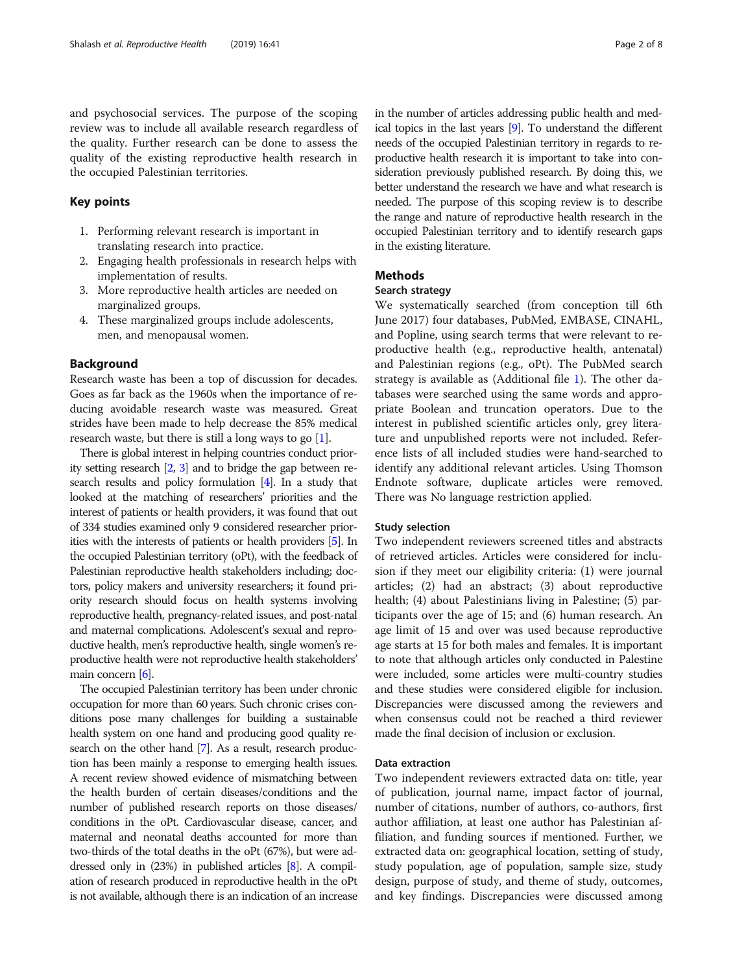and psychosocial services. The purpose of the scoping review was to include all available research regardless of the quality. Further research can be done to assess the quality of the existing reproductive health research in the occupied Palestinian territories.

#### Key points

- 1. Performing relevant research is important in translating research into practice.
- 2. Engaging health professionals in research helps with implementation of results.
- 3. More reproductive health articles are needed on marginalized groups.
- 4. These marginalized groups include adolescents, men, and menopausal women.

#### Background

Research waste has been a top of discussion for decades. Goes as far back as the 1960s when the importance of reducing avoidable research waste was measured. Great strides have been made to help decrease the 85% medical research waste, but there is still a long ways to go [\[1](#page-8-0)].

There is global interest in helping countries conduct priority setting research [\[2,](#page-8-0) [3](#page-8-0)] and to bridge the gap between research results and policy formulation [[4](#page-8-0)]. In a study that looked at the matching of researchers' priorities and the interest of patients or health providers, it was found that out of 334 studies examined only 9 considered researcher priorities with the interests of patients or health providers [[5](#page-8-0)]. In the occupied Palestinian territory (oPt), with the feedback of Palestinian reproductive health stakeholders including; doctors, policy makers and university researchers; it found priority research should focus on health systems involving reproductive health, pregnancy-related issues, and post-natal and maternal complications. Adolescent's sexual and reproductive health, men's reproductive health, single women's reproductive health were not reproductive health stakeholders' main concern [[6](#page-8-0)].

The occupied Palestinian territory has been under chronic occupation for more than 60 years. Such chronic crises conditions pose many challenges for building a sustainable health system on one hand and producing good quality research on the other hand [\[7\]](#page-8-0). As a result, research production has been mainly a response to emerging health issues. A recent review showed evidence of mismatching between the health burden of certain diseases/conditions and the number of published research reports on those diseases/ conditions in the oPt. Cardiovascular disease, cancer, and maternal and neonatal deaths accounted for more than two-thirds of the total deaths in the oPt (67%), but were addressed only in (23%) in published articles [\[8](#page-8-0)]. A compilation of research produced in reproductive health in the oPt is not available, although there is an indication of an increase in the number of articles addressing public health and medical topics in the last years [\[9\]](#page-8-0). To understand the different needs of the occupied Palestinian territory in regards to reproductive health research it is important to take into consideration previously published research. By doing this, we better understand the research we have and what research is needed. The purpose of this scoping review is to describe the range and nature of reproductive health research in the occupied Palestinian territory and to identify research gaps in the existing literature.

#### Methods

#### Search strategy

We systematically searched (from conception till 6th June 2017) four databases, PubMed, EMBASE, CINAHL, and Popline, using search terms that were relevant to reproductive health (e.g., reproductive health, antenatal) and Palestinian regions (e.g., oPt). The PubMed search strategy is available as (Additional file [1](#page-7-0)). The other databases were searched using the same words and appropriate Boolean and truncation operators. Due to the interest in published scientific articles only, grey literature and unpublished reports were not included. Reference lists of all included studies were hand-searched to identify any additional relevant articles. Using Thomson Endnote software, duplicate articles were removed. There was No language restriction applied.

#### Study selection

Two independent reviewers screened titles and abstracts of retrieved articles. Articles were considered for inclusion if they meet our eligibility criteria: (1) were journal articles; (2) had an abstract; (3) about reproductive health; (4) about Palestinians living in Palestine; (5) participants over the age of 15; and (6) human research. An age limit of 15 and over was used because reproductive age starts at 15 for both males and females. It is important to note that although articles only conducted in Palestine were included, some articles were multi-country studies and these studies were considered eligible for inclusion. Discrepancies were discussed among the reviewers and when consensus could not be reached a third reviewer made the final decision of inclusion or exclusion.

#### Data extraction

Two independent reviewers extracted data on: title, year of publication, journal name, impact factor of journal, number of citations, number of authors, co-authors, first author affiliation, at least one author has Palestinian affiliation, and funding sources if mentioned. Further, we extracted data on: geographical location, setting of study, study population, age of population, sample size, study design, purpose of study, and theme of study, outcomes, and key findings. Discrepancies were discussed among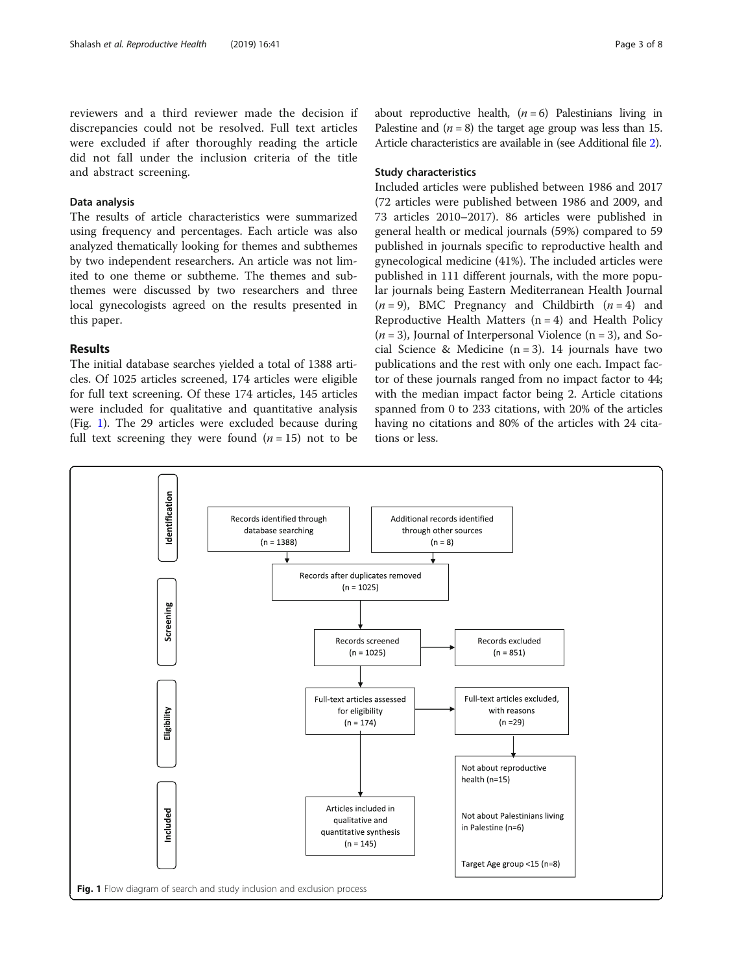reviewers and a third reviewer made the decision if discrepancies could not be resolved. Full text articles were excluded if after thoroughly reading the article did not fall under the inclusion criteria of the title and abstract screening.

### Data analysis

The results of article characteristics were summarized using frequency and percentages. Each article was also analyzed thematically looking for themes and subthemes by two independent researchers. An article was not limited to one theme or subtheme. The themes and subthemes were discussed by two researchers and three local gynecologists agreed on the results presented in this paper.

#### Results

The initial database searches yielded a total of 1388 articles. Of 1025 articles screened, 174 articles were eligible for full text screening. Of these 174 articles, 145 articles were included for qualitative and quantitative analysis (Fig. 1). The 29 articles were excluded because during full text screening they were found  $(n = 15)$  not to be about reproductive health,  $(n = 6)$  Palestinians living in Palestine and  $(n = 8)$  the target age group was less than 15. Article characteristics are available in (see Additional file [2\)](#page-7-0).

#### Study characteristics

Included articles were published between 1986 and 2017 (72 articles were published between 1986 and 2009, and 73 articles 2010–2017). 86 articles were published in general health or medical journals (59%) compared to 59 published in journals specific to reproductive health and gynecological medicine (41%). The included articles were published in 111 different journals, with the more popular journals being Eastern Mediterranean Health Journal  $(n = 9)$ , BMC Pregnancy and Childbirth  $(n = 4)$  and Reproductive Health Matters  $(n = 4)$  and Health Policy  $(n = 3)$ , Journal of Interpersonal Violence  $(n = 3)$ , and Social Science & Medicine  $(n = 3)$ . 14 journals have two publications and the rest with only one each. Impact factor of these journals ranged from no impact factor to 44; with the median impact factor being 2. Article citations spanned from 0 to 233 citations, with 20% of the articles having no citations and 80% of the articles with 24 citations or less.

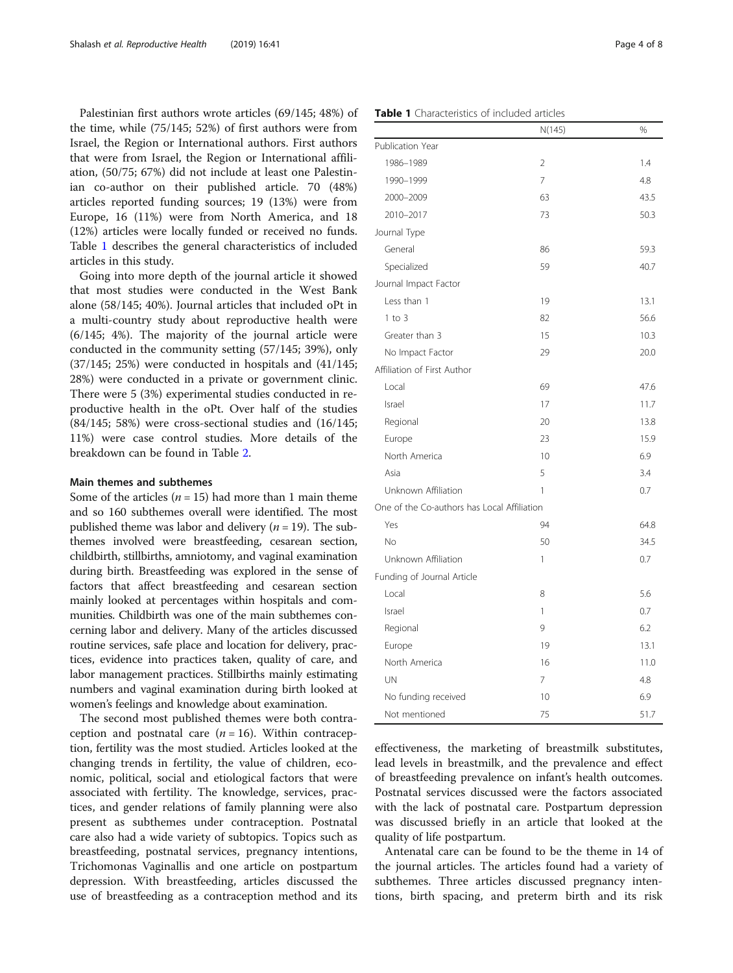Palestinian first authors wrote articles (69/145; 48%) of the time, while (75/145; 52%) of first authors were from Israel, the Region or International authors. First authors that were from Israel, the Region or International affiliation, (50/75; 67%) did not include at least one Palestinian co-author on their published article. 70 (48%) articles reported funding sources; 19 (13%) were from Europe, 16 (11%) were from North America, and 18 (12%) articles were locally funded or received no funds. Table 1 describes the general characteristics of included articles in this study.

Going into more depth of the journal article it showed that most studies were conducted in the West Bank alone (58/145; 40%). Journal articles that included oPt in a multi-country study about reproductive health were (6/145; 4%). The majority of the journal article were conducted in the community setting (57/145; 39%), only (37/145; 25%) were conducted in hospitals and (41/145; 28%) were conducted in a private or government clinic. There were 5 (3%) experimental studies conducted in reproductive health in the oPt. Over half of the studies (84/145; 58%) were cross-sectional studies and (16/145; 11%) were case control studies. More details of the breakdown can be found in Table [2](#page-5-0).

#### Main themes and subthemes

Some of the articles  $(n = 15)$  had more than 1 main theme and so 160 subthemes overall were identified. The most published theme was labor and delivery ( $n = 19$ ). The subthemes involved were breastfeeding, cesarean section, childbirth, stillbirths, amniotomy, and vaginal examination during birth. Breastfeeding was explored in the sense of factors that affect breastfeeding and cesarean section mainly looked at percentages within hospitals and communities. Childbirth was one of the main subthemes concerning labor and delivery. Many of the articles discussed routine services, safe place and location for delivery, practices, evidence into practices taken, quality of care, and labor management practices. Stillbirths mainly estimating numbers and vaginal examination during birth looked at women's feelings and knowledge about examination.

The second most published themes were both contraception and postnatal care  $(n = 16)$ . Within contraception, fertility was the most studied. Articles looked at the changing trends in fertility, the value of children, economic, political, social and etiological factors that were associated with fertility. The knowledge, services, practices, and gender relations of family planning were also present as subthemes under contraception. Postnatal care also had a wide variety of subtopics. Topics such as breastfeeding, postnatal services, pregnancy intentions, Trichomonas Vaginallis and one article on postpartum depression. With breastfeeding, articles discussed the use of breastfeeding as a contraception method and its

|                                             | 14(172)        | 70   |
|---------------------------------------------|----------------|------|
| Publication Year                            |                |      |
| 1986-1989                                   | $\overline{2}$ | 1.4  |
| 1990-1999                                   | $\overline{7}$ | 4.8  |
| 2000-2009                                   | 63             | 43.5 |
| 2010-2017                                   | 73             | 50.3 |
| Journal Type                                |                |      |
| General                                     | 86             | 59.3 |
| Specialized                                 | 59             | 40.7 |
| Journal Impact Factor                       |                |      |
| Less than 1                                 | 19             | 13.1 |
| $1$ to $3$                                  | 82             | 56.6 |
| Greater than 3                              | 15             | 10.3 |
| No Impact Factor                            | 29             | 20.0 |
| Affiliation of First Author                 |                |      |
| Local                                       | 69             | 47.6 |
| Israel                                      | 17             | 11.7 |
| Regional                                    | 20             | 13.8 |
| Europe                                      | 23             | 15.9 |
| North America                               | 10             | 6.9  |
| Asia                                        | 5              | 3.4  |
| Unknown Affiliation                         | 1              | 0.7  |
| One of the Co-authors has Local Affiliation |                |      |
| Yes                                         | 94             | 64.8 |
| No                                          | 50             | 34.5 |
| Unknown Affiliation                         | 1              | 0.7  |
| Funding of Journal Article                  |                |      |
| Local                                       | 8              | 5.6  |
| Israel                                      | 1              | 0.7  |
| Regional                                    | 9              | 6.2  |
| Europe                                      | 19             | 13.1 |
| North America                               | 16             | 11.0 |
| UN                                          | 7              | 4.8  |
| No funding received                         | 10             | 6.9  |
| Not mentioned                               | 75             | 51.7 |

effectiveness, the marketing of breastmilk substitutes, lead levels in breastmilk, and the prevalence and effect of breastfeeding prevalence on infant's health outcomes. Postnatal services discussed were the factors associated with the lack of postnatal care. Postpartum depression was discussed briefly in an article that looked at the quality of life postpartum.

Antenatal care can be found to be the theme in 14 of the journal articles. The articles found had a variety of subthemes. Three articles discussed pregnancy intentions, birth spacing, and preterm birth and its risk

 $N(145)$   $0/$ 

#### Table 1 Characteristics of included articles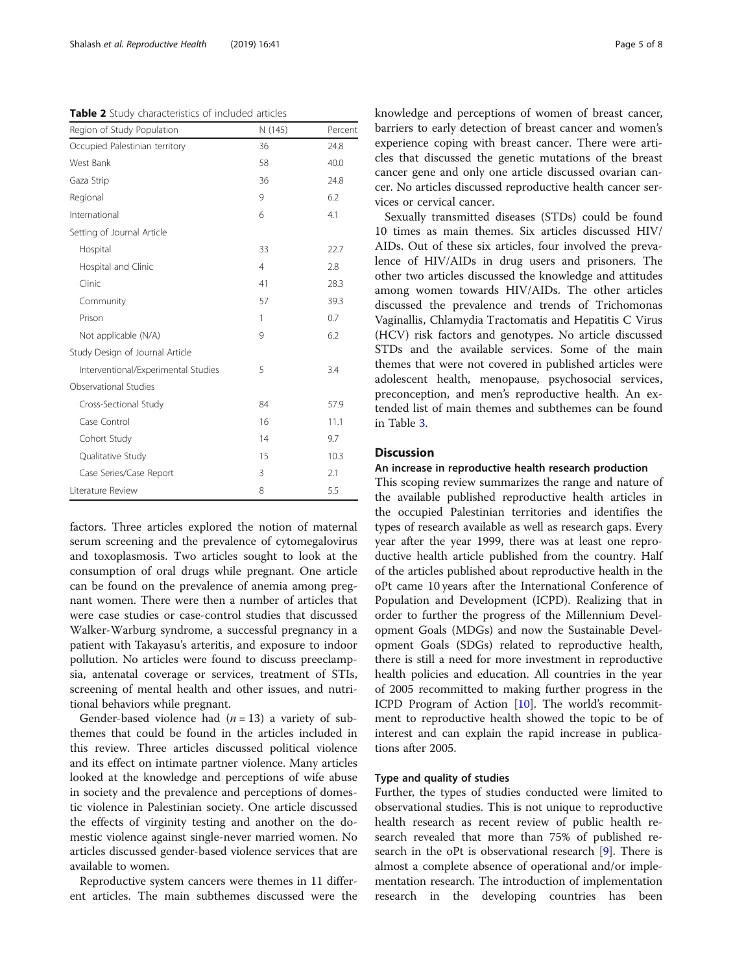<span id="page-5-0"></span>Table 2 Study characteristics of included articles

| Region of Study Population          | N (145)        | Percent |
|-------------------------------------|----------------|---------|
| Occupied Palestinian territory      | 36             | 24.8    |
| West Bank                           | 58             | 40.0    |
| Gaza Strip                          | 36             | 24.8    |
| Regional                            | 9              | 6.2     |
| International                       | 6              | 4.1     |
| Setting of Journal Article          |                |         |
| Hospital                            | 33             | 22.7    |
| Hospital and Clinic                 | $\overline{4}$ | 2.8     |
| Clinic                              | 41             | 28.3    |
| Community                           | 57             | 39.3    |
| Prison                              | 1              | 0.7     |
| Not applicable (N/A)                | 9              | 6.2     |
| Study Design of Journal Article     |                |         |
| Interventional/Experimental Studies | 5              | 3.4     |
| Observational Studies               |                |         |
| Cross-Sectional Study               | 84             | 57.9    |
| Case Control                        | 16             | 11.1    |
| Cohort Study                        | 14             | 9.7     |
| Qualitative Study                   | 15             | 10.3    |
| Case Series/Case Report             | 3              | 2.1     |
| Literature Review                   | 8              | 5.5     |

factors. Three articles explored the notion of maternal serum screening and the prevalence of cytomegalovirus and toxoplasmosis. Two articles sought to look at the consumption of oral drugs while pregnant. One article can be found on the prevalence of anemia among pregnant women. There were then a number of articles that were case studies or case-control studies that discussed Walker-Warburg syndrome, a successful pregnancy in a patient with Takayasu's arteritis, and exposure to indoor pollution. No articles were found to discuss preeclampsia, antenatal coverage or services, treatment of STIs, screening of mental health and other issues, and nutritional behaviors while pregnant.

Gender-based violence had  $(n = 13)$  a variety of subthemes that could be found in the articles included in this review. Three articles discussed political violence and its effect on intimate partner violence. Many articles looked at the knowledge and perceptions of wife abuse in society and the prevalence and perceptions of domestic violence in Palestinian society. One article discussed the effects of virginity testing and another on the domestic violence against single-never married women. No articles discussed gender-based violence services that are available to women.

Reproductive system cancers were themes in 11 different articles. The main subthemes discussed were the knowledge and perceptions of women of breast cancer, barriers to early detection of breast cancer and women's experience coping with breast cancer. There were articles that discussed the genetic mutations of the breast cancer gene and only one article discussed ovarian cancer. No articles discussed reproductive health cancer services or cervical cancer.

Sexually transmitted diseases (STDs) could be found 10 times as main themes. Six articles discussed HIV/ AIDs. Out of these six articles, four involved the prevalence of HIV/AIDs in drug users and prisoners. The other two articles discussed the knowledge and attitudes among women towards HIV/AIDs. The other articles discussed the prevalence and trends of Trichomonas Vaginallis, Chlamydia Tractomatis and Hepatitis C Virus (HCV) risk factors and genotypes. No article discussed STDs and the available services. Some of the main themes that were not covered in published articles were adolescent health, menopause, psychosocial services, preconception, and men's reproductive health. An extended list of main themes and subthemes can be found in Table [3.](#page-6-0)

#### Discussion

#### An increase in reproductive health research production

This scoping review summarizes the range and nature of the available published reproductive health articles in the occupied Palestinian territories and identifies the types of research available as well as research gaps. Every year after the year 1999, there was at least one reproductive health article published from the country. Half of the articles published about reproductive health in the oPt came 10 years after the International Conference of Population and Development (ICPD). Realizing that in order to further the progress of the Millennium Development Goals (MDGs) and now the Sustainable Development Goals (SDGs) related to reproductive health, there is still a need for more investment in reproductive health policies and education. All countries in the year of 2005 recommitted to making further progress in the ICPD Program of Action [[10\]](#page-8-0). The world's recommitment to reproductive health showed the topic to be of interest and can explain the rapid increase in publications after 2005.

#### Type and quality of studies

Further, the types of studies conducted were limited to observational studies. This is not unique to reproductive health research as recent review of public health research revealed that more than 75% of published research in the oPt is observational research [\[9](#page-8-0)]. There is almost a complete absence of operational and/or implementation research. The introduction of implementation research in the developing countries has been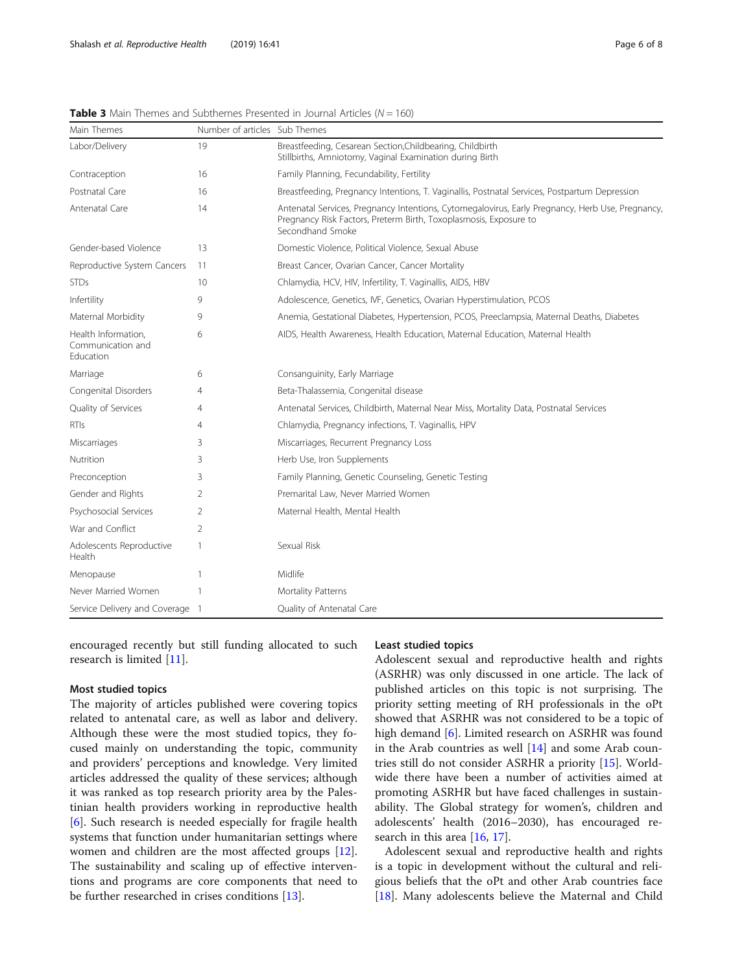| Main Themes                                           | Number of articles Sub Themes |                                                                                                                                                                                          |
|-------------------------------------------------------|-------------------------------|------------------------------------------------------------------------------------------------------------------------------------------------------------------------------------------|
| Labor/Delivery                                        | 19                            | Breastfeeding, Cesarean Section, Childbearing, Childbirth<br>Stillbirths, Amniotomy, Vaginal Examination during Birth                                                                    |
| Contraception                                         | 16                            | Family Planning, Fecundability, Fertility                                                                                                                                                |
| Postnatal Care                                        | 16                            | Breastfeeding, Pregnancy Intentions, T. Vaginallis, Postnatal Services, Postpartum Depression                                                                                            |
| Antenatal Care                                        | 14                            | Antenatal Services, Pregnancy Intentions, Cytomegalovirus, Early Pregnancy, Herb Use, Pregnancy<br>Pregnancy Risk Factors, Preterm Birth, Toxoplasmosis, Exposure to<br>Secondhand Smoke |
| Gender-based Violence                                 | 13                            | Domestic Violence, Political Violence, Sexual Abuse                                                                                                                                      |
| Reproductive System Cancers                           | 11                            | Breast Cancer, Ovarian Cancer, Cancer Mortality                                                                                                                                          |
| <b>STDs</b>                                           | 10                            | Chlamydia, HCV, HIV, Infertility, T. Vaginallis, AIDS, HBV                                                                                                                               |
| Infertility                                           | 9                             | Adolescence, Genetics, IVF, Genetics, Ovarian Hyperstimulation, PCOS                                                                                                                     |
| Maternal Morbidity                                    | 9                             | Anemia, Gestational Diabetes, Hypertension, PCOS, Preeclampsia, Maternal Deaths, Diabetes                                                                                                |
| Health Information,<br>Communication and<br>Education | 6                             | AIDS, Health Awareness, Health Education, Maternal Education, Maternal Health                                                                                                            |
| Marriage                                              | 6                             | Consanguinity, Early Marriage                                                                                                                                                            |
| Congenital Disorders                                  | 4                             | Beta-Thalassemia, Congenital disease                                                                                                                                                     |
| Quality of Services                                   | 4                             | Antenatal Services, Childbirth, Maternal Near Miss, Mortality Data, Postnatal Services                                                                                                   |
| RTIs                                                  | 4                             | Chlamydia, Pregnancy infections, T. Vaginallis, HPV                                                                                                                                      |
| Miscarriages                                          | 3                             | Miscarriages, Recurrent Pregnancy Loss                                                                                                                                                   |
| Nutrition                                             | 3                             | Herb Use, Iron Supplements                                                                                                                                                               |
| Preconception                                         | 3                             | Family Planning, Genetic Counseling, Genetic Testing                                                                                                                                     |
| Gender and Rights                                     | 2                             | Premarital Law, Never Married Women                                                                                                                                                      |
| Psychosocial Services                                 | 2                             | Maternal Health, Mental Health                                                                                                                                                           |
| War and Conflict                                      | $\overline{2}$                |                                                                                                                                                                                          |
| Adolescents Reproductive<br>Health                    | 1                             | Sexual Risk                                                                                                                                                                              |
| Menopause                                             | 1                             | Midlife                                                                                                                                                                                  |
| Never Married Women                                   |                               | Mortality Patterns                                                                                                                                                                       |
| Service Delivery and Coverage 1                       |                               | Quality of Antenatal Care                                                                                                                                                                |
|                                                       |                               |                                                                                                                                                                                          |

<span id="page-6-0"></span>**Table 3** Main Themes and Subthemes Presented in Journal Articles ( $N = 160$ )

encouraged recently but still funding allocated to such research is limited [[11\]](#page-8-0).

#### Most studied topics

The majority of articles published were covering topics related to antenatal care, as well as labor and delivery. Although these were the most studied topics, they focused mainly on understanding the topic, community and providers' perceptions and knowledge. Very limited articles addressed the quality of these services; although it was ranked as top research priority area by the Palestinian health providers working in reproductive health [[6\]](#page-8-0). Such research is needed especially for fragile health systems that function under humanitarian settings where women and children are the most affected groups [\[12](#page-8-0)]. The sustainability and scaling up of effective interventions and programs are core components that need to be further researched in crises conditions [\[13](#page-8-0)].

#### Least studied topics

Adolescent sexual and reproductive health and rights (ASRHR) was only discussed in one article. The lack of published articles on this topic is not surprising. The priority setting meeting of RH professionals in the oPt showed that ASRHR was not considered to be a topic of high demand [\[6](#page-8-0)]. Limited research on ASRHR was found in the Arab countries as well [[14](#page-8-0)] and some Arab countries still do not consider ASRHR a priority [\[15](#page-8-0)]. Worldwide there have been a number of activities aimed at promoting ASRHR but have faced challenges in sustainability. The Global strategy for women's, children and adolescents' health (2016–2030), has encouraged research in this area [\[16](#page-8-0), [17](#page-8-0)].

Adolescent sexual and reproductive health and rights is a topic in development without the cultural and religious beliefs that the oPt and other Arab countries face [[18\]](#page-8-0). Many adolescents believe the Maternal and Child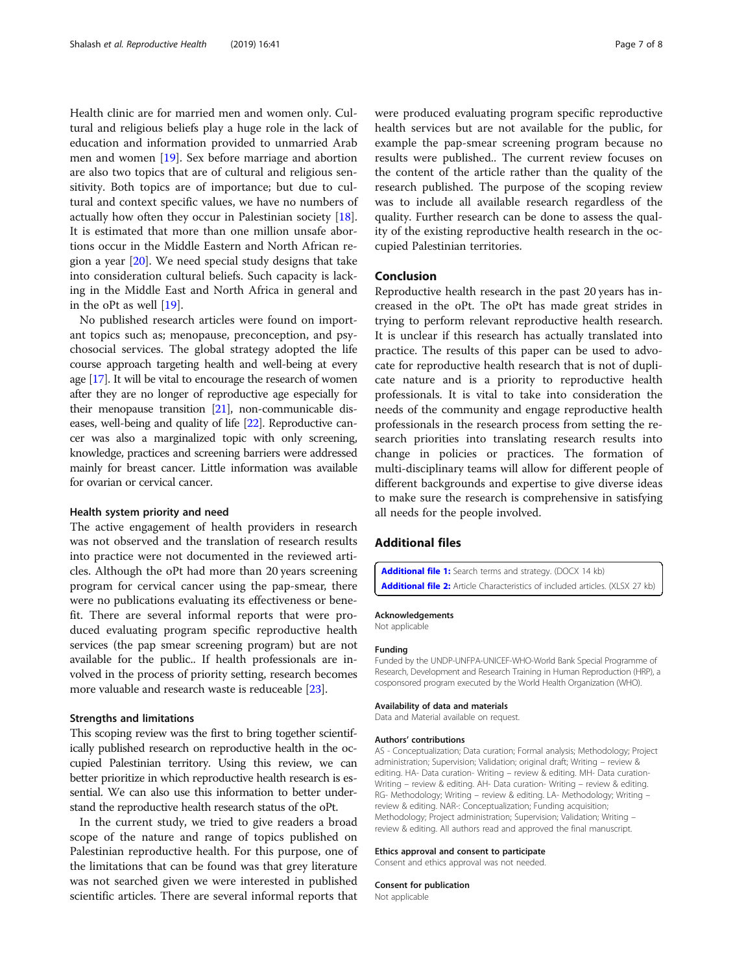<span id="page-7-0"></span>Health clinic are for married men and women only. Cultural and religious beliefs play a huge role in the lack of education and information provided to unmarried Arab men and women [\[19\]](#page-8-0). Sex before marriage and abortion are also two topics that are of cultural and religious sensitivity. Both topics are of importance; but due to cultural and context specific values, we have no numbers of actually how often they occur in Palestinian society [\[18](#page-8-0)]. It is estimated that more than one million unsafe abortions occur in the Middle Eastern and North African region a year [\[20\]](#page-8-0). We need special study designs that take into consideration cultural beliefs. Such capacity is lacking in the Middle East and North Africa in general and in the oPt as well [[19\]](#page-8-0).

No published research articles were found on important topics such as; menopause, preconception, and psychosocial services. The global strategy adopted the life course approach targeting health and well-being at every age [\[17\]](#page-8-0). It will be vital to encourage the research of women after they are no longer of reproductive age especially for their menopause transition [\[21](#page-8-0)], non-communicable diseases, well-being and quality of life [[22](#page-8-0)]. Reproductive cancer was also a marginalized topic with only screening, knowledge, practices and screening barriers were addressed mainly for breast cancer. Little information was available for ovarian or cervical cancer.

#### Health system priority and need

The active engagement of health providers in research was not observed and the translation of research results into practice were not documented in the reviewed articles. Although the oPt had more than 20 years screening program for cervical cancer using the pap-smear, there were no publications evaluating its effectiveness or benefit. There are several informal reports that were produced evaluating program specific reproductive health services (the pap smear screening program) but are not available for the public.. If health professionals are involved in the process of priority setting, research becomes more valuable and research waste is reduceable [\[23](#page-8-0)].

#### Strengths and limitations

This scoping review was the first to bring together scientifically published research on reproductive health in the occupied Palestinian territory. Using this review, we can better prioritize in which reproductive health research is essential. We can also use this information to better understand the reproductive health research status of the oPt.

In the current study, we tried to give readers a broad scope of the nature and range of topics published on Palestinian reproductive health. For this purpose, one of the limitations that can be found was that grey literature was not searched given we were interested in published scientific articles. There are several informal reports that were produced evaluating program specific reproductive health services but are not available for the public, for example the pap-smear screening program because no results were published.. The current review focuses on the content of the article rather than the quality of the research published. The purpose of the scoping review was to include all available research regardless of the quality. Further research can be done to assess the quality of the existing reproductive health research in the occupied Palestinian territories.

#### Conclusion

Reproductive health research in the past 20 years has increased in the oPt. The oPt has made great strides in trying to perform relevant reproductive health research. It is unclear if this research has actually translated into practice. The results of this paper can be used to advocate for reproductive health research that is not of duplicate nature and is a priority to reproductive health professionals. It is vital to take into consideration the needs of the community and engage reproductive health professionals in the research process from setting the research priorities into translating research results into change in policies or practices. The formation of multi-disciplinary teams will allow for different people of different backgrounds and expertise to give diverse ideas to make sure the research is comprehensive in satisfying all needs for the people involved.

#### Additional files

[Additional file 1:](https://doi.org/10.1186/s12978-019-0699-4) Search terms and strategy. (DOCX 14 kb) [Additional file 2:](https://doi.org/10.1186/s12978-019-0699-4) Article Characteristics of included articles. (XLSX 27 kb)

#### Acknowledgements

Not applicable

#### Funding

Funded by the UNDP-UNFPA-UNICEF-WHO-World Bank Special Programme of Research, Development and Research Training in Human Reproduction (HRP), a cosponsored program executed by the World Health Organization (WHO).

#### Availability of data and materials

Data and Material available on request.

#### Authors' contributions

AS - Conceptualization; Data curation; Formal analysis; Methodology; Project administration; Supervision; Validation; original draft; Writing – review & editing. HA- Data curation- Writing – review & editing. MH- Data curation-Writing – review & editing. AH- Data curation- Writing – review & editing. RG- Methodology; Writing – review & editing. LA- Methodology; Writing – review & editing. NAR-: Conceptualization; Funding acquisition; Methodology; Project administration; Supervision; Validation; Writing – review & editing. All authors read and approved the final manuscript.

#### Ethics approval and consent to participate

Consent and ethics approval was not needed.

#### Consent for publication

Not applicable